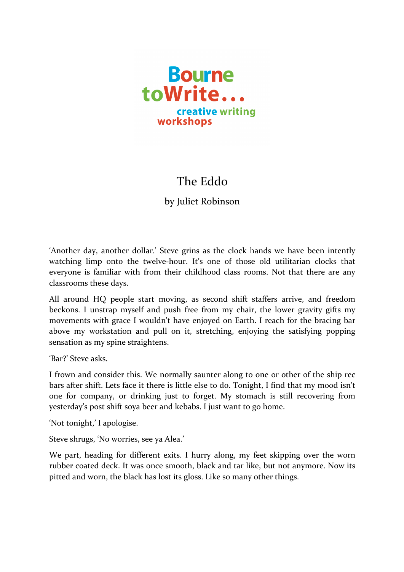

## The Eddo

by Juliet Robinson

'Another day, another dollar.' Steve grins as the clock hands we have been intently watching limp onto the twelve-hour. It's one of those old utilitarian clocks that everyone is familiar with from their childhood class rooms. Not that there are any classrooms these days.

All around HQ people start moving, as second shift staffers arrive, and freedom beckons. I unstrap myself and push free from my chair, the lower gravity gifts my movements with grace I wouldn't have enjoyed on Earth. I reach for the bracing bar above my workstation and pull on it, stretching, enjoying the satisfying popping sensation as my spine straightens.

'Bar?' Steve asks.

I frown and consider this. We normally saunter along to one or other of the ship rec bars after shift. Lets face it there is little else to do. Tonight, I find that my mood isn't one for company, or drinking just to forget. My stomach is still recovering from yesterday's post shift soya beer and kebabs. I just want to go home.

'Not tonight,' I apologise.

Steve shrugs, 'No worries, see ya Alea.'

We part, heading for different exits. I hurry along, my feet skipping over the worn rubber coated deck. It was once smooth, black and tar like, but not anymore. Now its pitted and worn, the black has lost its gloss. Like so many other things.